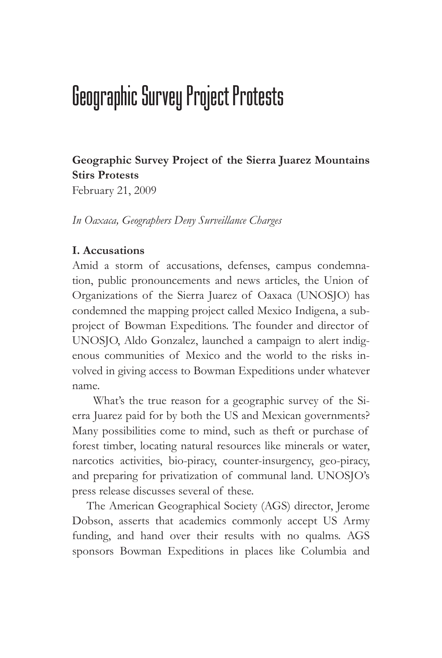# Geographic Survey Project Protests

# **Geographic Survey Project of the Sierra Juarez Mountains Stirs Protests**

February 21, 2009

*In Oaxaca, Geographers Deny Surveillance Charges*

## **I. Accusations**

Amid a storm of accusations, defenses, campus condemnation, public pronouncements and news articles, the Union of Organizations of the Sierra Juarez of Oaxaca (UNOSJO) has condemned the mapping project called Mexico Indigena, a subproject of Bowman Expeditions. The founder and director of UNOSJO, Aldo Gonzalez, launched a campaign to alert indigenous communities of Mexico and the world to the risks involved in giving access to Bowman Expeditions under whatever name.

 What's the true reason for a geographic survey of the Sierra Juarez paid for by both the US and Mexican governments? Many possibilities come to mind, such as theft or purchase of forest timber, locating natural resources like minerals or water, narcotics activities, bio-piracy, counter-insurgency, geo-piracy, and preparing for privatization of communal land. UNOSJO's press release discusses several of these.

 The American Geographical Society (AGS) director, Jerome Dobson, asserts that academics commonly accept US Army funding, and hand over their results with no qualms. AGS sponsors Bowman Expeditions in places like Columbia and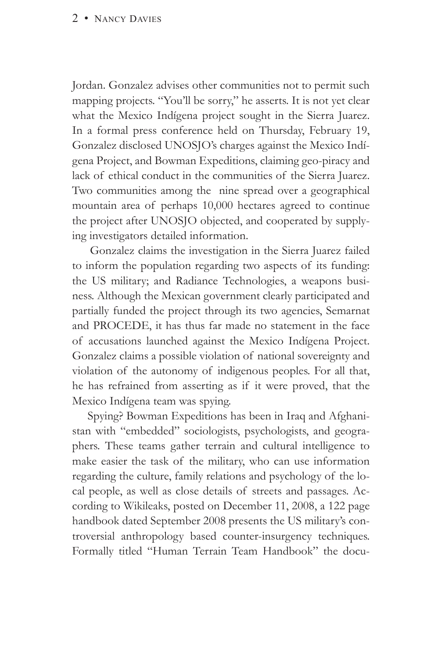Jordan. Gonzalez advises other communities not to permit such mapping projects. "You'll be sorry," he asserts. It is not yet clear what the Mexico Indígena project sought in the Sierra Juarez. In a formal press conference held on Thursday, February 19, Gonzalez disclosed UNOSJO's charges against the Mexico Indígena Project, and Bowman Expeditions, claiming geo-piracy and lack of ethical conduct in the communities of the Sierra Juarez. Two communities among the nine spread over a geographical mountain area of perhaps 10,000 hectares agreed to continue the project after UNOSJO objected, and cooperated by supplying investigators detailed information.

 Gonzalez claims the investigation in the Sierra Juarez failed to inform the population regarding two aspects of its funding: the US military; and Radiance Technologies, a weapons business. Although the Mexican government clearly participated and partially funded the project through its two agencies, Semarnat and PROCEDE, it has thus far made no statement in the face of accusations launched against the Mexico Indígena Project. Gonzalez claims a possible violation of national sovereignty and violation of the autonomy of indigenous peoples. For all that, he has refrained from asserting as if it were proved, that the Mexico Indígena team was spying.

 Spying? Bowman Expeditions has been in Iraq and Afghanistan with "embedded" sociologists, psychologists, and geographers. These teams gather terrain and cultural intelligence to make easier the task of the military, who can use information regarding the culture, family relations and psychology of the local people, as well as close details of streets and passages. According to Wikileaks, posted on December 11, 2008, a 122 page handbook dated September 2008 presents the US military's controversial anthropology based counter-insurgency techniques. Formally titled "Human Terrain Team Handbook" the docu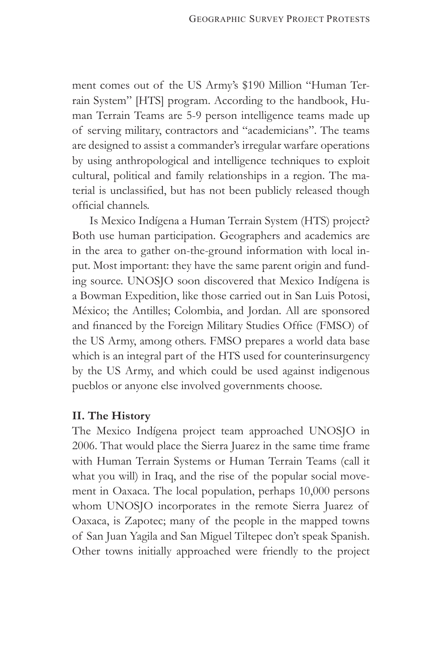ment comes out of the US Army's \$190 Million "Human Terrain System" [HTS] program. According to the handbook, Human Terrain Teams are 5-9 person intelligence teams made up of serving military, contractors and "academicians". The teams are designed to assist a commander's irregular warfare operations by using anthropological and intelligence techniques to exploit cultural, political and family relationships in a region. The material is unclassified, but has not been publicly released though official channels.

 Is Mexico Indígena a Human Terrain System (HTS) project? Both use human participation. Geographers and academics are in the area to gather on-the-ground information with local input. Most important: they have the same parent origin and funding source. UNOSJO soon discovered that Mexico Indígena is a Bowman Expedition, like those carried out in San Luis Potosi, México; the Antilles; Colombia, and Jordan. All are sponsored and financed by the Foreign Military Studies Office (FMSO) of the US Army, among others. FMSO prepares a world data base which is an integral part of the HTS used for counterinsurgency by the US Army, and which could be used against indigenous pueblos or anyone else involved governments choose.

#### **II. The History**

The Mexico Indígena project team approached UNOSJO in 2006. That would place the Sierra Juarez in the same time frame with Human Terrain Systems or Human Terrain Teams (call it what you will) in Iraq, and the rise of the popular social movement in Oaxaca. The local population, perhaps 10,000 persons whom UNOSJO incorporates in the remote Sierra Juarez of Oaxaca, is Zapotec; many of the people in the mapped towns of San Juan Yagila and San Miguel Tiltepec don't speak Spanish. Other towns initially approached were friendly to the project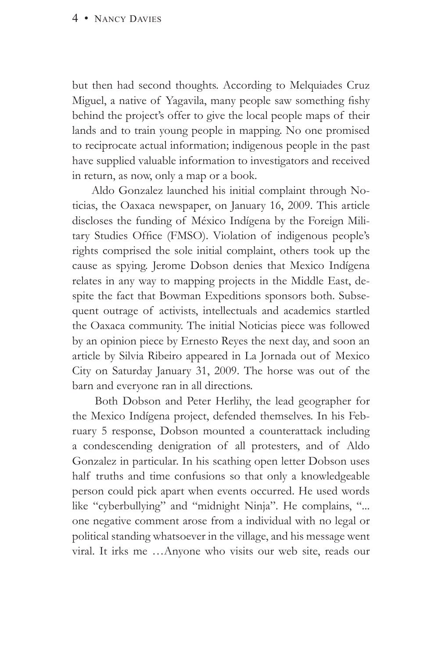but then had second thoughts. According to Melquiades Cruz Miguel, a native of Yagavila, many people saw something fishy behind the project's offer to give the local people maps of their lands and to train young people in mapping. No one promised to reciprocate actual information; indigenous people in the past have supplied valuable information to investigators and received in return, as now, only a map or a book.

 Aldo Gonzalez launched his initial complaint through Noticias, the Oaxaca newspaper, on January 16, 2009. This article discloses the funding of México Indígena by the Foreign Military Studies Office (FMSO). Violation of indigenous people's rights comprised the sole initial complaint, others took up the cause as spying. Jerome Dobson denies that Mexico Indígena relates in any way to mapping projects in the Middle East, despite the fact that Bowman Expeditions sponsors both. Subsequent outrage of activists, intellectuals and academics startled the Oaxaca community. The initial Noticias piece was followed by an opinion piece by Ernesto Reyes the next day, and soon an article by Silvia Ribeiro appeared in La Jornada out of Mexico City on Saturday January 31, 2009. The horse was out of the barn and everyone ran in all directions.

 Both Dobson and Peter Herlihy, the lead geographer for the Mexico Indígena project, defended themselves. In his February 5 response, Dobson mounted a counterattack including a condescending denigration of all protesters, and of Aldo Gonzalez in particular. In his scathing open letter Dobson uses half truths and time confusions so that only a knowledgeable person could pick apart when events occurred. He used words like "cyberbullying" and "midnight Ninja". He complains, "... one negative comment arose from a individual with no legal or political standing whatsoever in the village, and his message went viral. It irks me …Anyone who visits our web site, reads our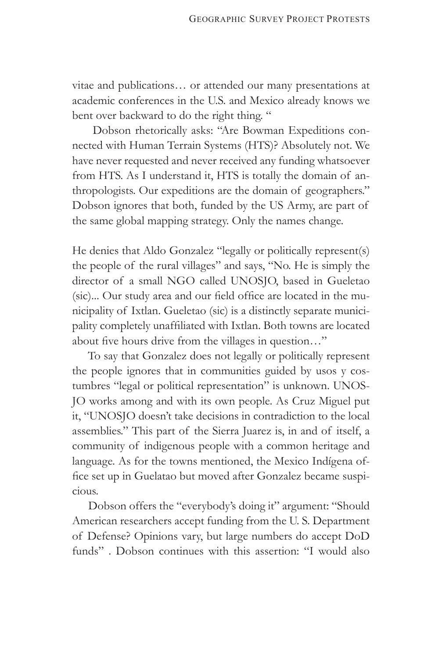vitae and publications… or attended our many presentations at academic conferences in the U.S. and Mexico already knows we bent over backward to do the right thing. "

 Dobson rhetorically asks: "Are Bowman Expeditions connected with Human Terrain Systems (HTS)? Absolutely not. We have never requested and never received any funding whatsoever from HTS. As I understand it, HTS is totally the domain of anthropologists. Our expeditions are the domain of geographers." Dobson ignores that both, funded by the US Army, are part of the same global mapping strategy. Only the names change.

He denies that Aldo Gonzalez "legally or politically represent(s) the people of the rural villages" and says, "No. He is simply the director of a small NGO called UNOSJO, based in Gueletao (sic)... Our study area and our field office are located in the municipality of Ixtlan. Gueletao (sic) is a distinctly separate municipality completely unaffiliated with Ixtlan. Both towns are located about five hours drive from the villages in question…"

 To say that Gonzalez does not legally or politically represent the people ignores that in communities guided by usos y costumbres "legal or political representation" is unknown. UNOS-JO works among and with its own people. As Cruz Miguel put it, "UNOSJO doesn't take decisions in contradiction to the local assemblies." This part of the Sierra Juarez is, in and of itself, a community of indigenous people with a common heritage and language. As for the towns mentioned, the Mexico Indígena office set up in Guelatao but moved after Gonzalez became suspicious.

 Dobson offers the "everybody's doing it" argument: "Should American researchers accept funding from the U. S. Department of Defense? Opinions vary, but large numbers do accept DoD funds" . Dobson continues with this assertion: "I would also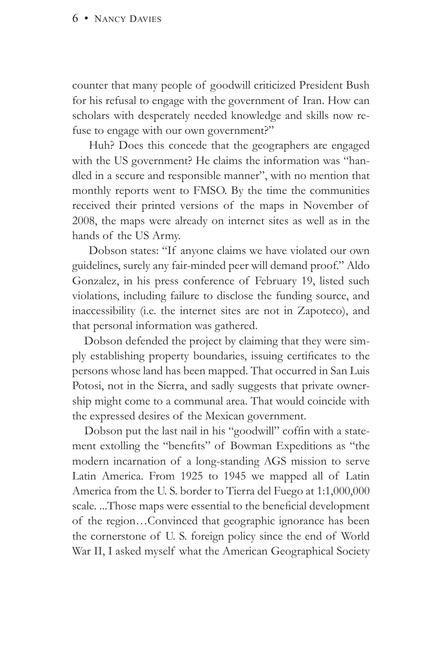counter that many people of goodwill criticized President Bush for his refusal to engage with the government of Iran. How can scholars with desperately needed knowledge and skills now refuse to engage with our own government?"

 Huh? Does this concede that the geographers are engaged with the US government? He claims the information was "handled in a secure and responsible manner", with no mention that monthly reports went to FMSO. By the time the communities received their printed versions of the maps in November of 2008, the maps were already on internet sites as well as in the hands of the US Army.

 Dobson states: "If anyone claims we have violated our own guidelines, surely any fair-minded peer will demand proof." Aldo Gonzalez, in his press conference of February 19, listed such violations, including failure to disclose the funding source, and inaccessibility (i.e. the internet sites are not in Zapoteco), and that personal information was gathered.

 Dobson defended the project by claiming that they were simply establishing property boundaries, issuing certificates to the persons whose land has been mapped. That occurred in San Luis Potosi, not in the Sierra, and sadly suggests that private ownership might come to a communal area. That would coincide with the expressed desires of the Mexican government.

 Dobson put the last nail in his "goodwill" coffin with a statement extolling the "benefits" of Bowman Expeditions as "the modern incarnation of a long-standing AGS mission to serve Latin America. From 1925 to 1945 we mapped all of Latin America from the U. S. border to Tierra del Fuego at 1:1,000,000 scale. ...Those maps were essential to the beneficial development of the region…Convinced that geographic ignorance has been the cornerstone of U. S. foreign policy since the end of World War II, I asked myself what the American Geographical Society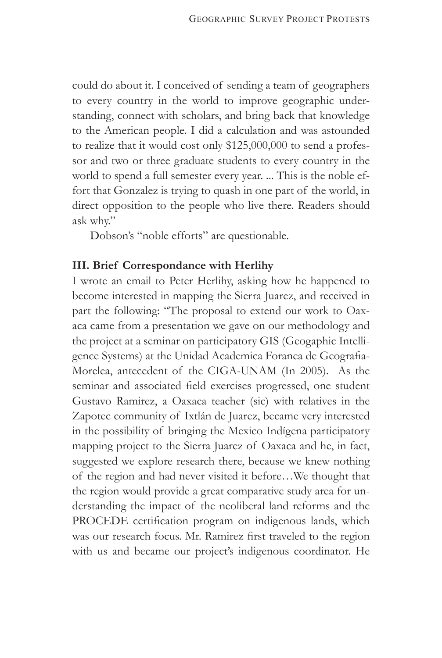could do about it. I conceived of sending a team of geographers to every country in the world to improve geographic understanding, connect with scholars, and bring back that knowledge to the American people. I did a calculation and was astounded to realize that it would cost only \$125,000,000 to send a professor and two or three graduate students to every country in the world to spend a full semester every year. ... This is the noble effort that Gonzalez is trying to quash in one part of the world, in direct opposition to the people who live there. Readers should ask why."

Dobson's "noble efforts" are questionable.

### **III. Brief Correspondance with Herlihy**

I wrote an email to Peter Herlihy, asking how he happened to become interested in mapping the Sierra Juarez, and received in part the following: "The proposal to extend our work to Oaxaca came from a presentation we gave on our methodology and the project at a seminar on participatory GIS (Geogaphic Intelligence Systems) at the Unidad Academica Foranea de Geografia-Morelea, antecedent of the CIGA-UNAM (In 2005). As the seminar and associated field exercises progressed, one student Gustavo Ramirez, a Oaxaca teacher (sic) with relatives in the Zapotec community of Ixtlán de Juarez, became very interested in the possibility of bringing the Mexico Indígena participatory mapping project to the Sierra Juarez of Oaxaca and he, in fact, suggested we explore research there, because we knew nothing of the region and had never visited it before…We thought that the region would provide a great comparative study area for understanding the impact of the neoliberal land reforms and the PROCEDE certification program on indigenous lands, which was our research focus. Mr. Ramirez first traveled to the region with us and became our project's indigenous coordinator. He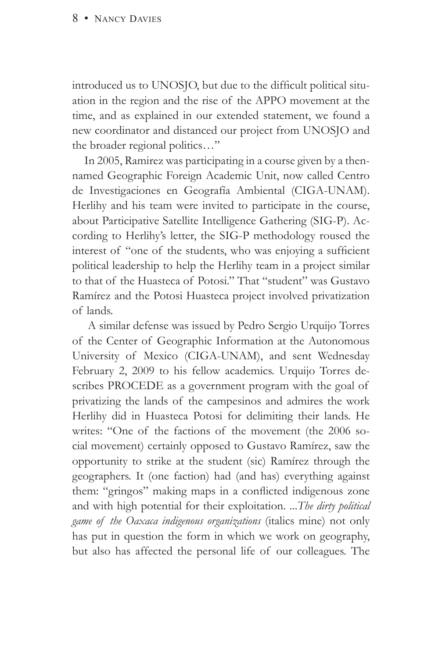introduced us to UNOSJO, but due to the difficult political situation in the region and the rise of the APPO movement at the time, and as explained in our extended statement, we found a new coordinator and distanced our project from UNOSJO and the broader regional politics…"

 In 2005, Ramirez was participating in a course given by a thennamed Geographic Foreign Academic Unit, now called Centro de Investigaciones en Geografía Ambiental (CIGA-UNAM). Herlihy and his team were invited to participate in the course, about Participative Satellite Intelligence Gathering (SIG-P). According to Herlihy's letter, the SIG-P methodology roused the interest of "one of the students, who was enjoying a sufficient political leadership to help the Herlihy team in a project similar to that of the Huasteca of Potosi." That "student" was Gustavo Ramírez and the Potosi Huasteca project involved privatization of lands.

 A similar defense was issued by Pedro Sergio Urquijo Torres of the Center of Geographic Information at the Autonomous University of Mexico (CIGA-UNAM), and sent Wednesday February 2, 2009 to his fellow academics. Urquijo Torres describes PROCEDE as a government program with the goal of privatizing the lands of the campesinos and admires the work Herlihy did in Huasteca Potosi for delimiting their lands. He writes: "One of the factions of the movement (the 2006 social movement) certainly opposed to Gustavo Ramírez, saw the opportunity to strike at the student (sic) Ramírez through the geographers. It (one faction) had (and has) everything against them: "gringos" making maps in a conflicted indigenous zone and with high potential for their exploitation. ...*The dirty political game of the Oaxaca indigenous organizations* (italics mine) not only has put in question the form in which we work on geography, but also has affected the personal life of our colleagues. The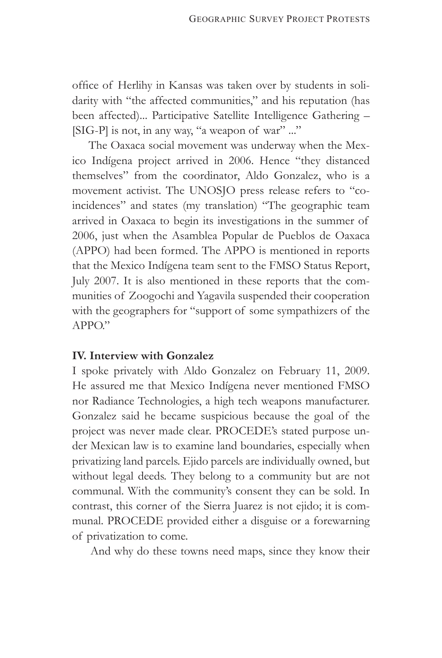office of Herlihy in Kansas was taken over by students in solidarity with "the affected communities," and his reputation (has been affected)... Participative Satellite Intelligence Gathering – [SIG-P] is not, in any way, "a weapon of war" ..."

 The Oaxaca social movement was underway when the Mexico Indígena project arrived in 2006. Hence "they distanced themselves" from the coordinator, Aldo Gonzalez, who is a movement activist. The UNOSJO press release refers to "coincidences" and states (my translation) "The geographic team arrived in Oaxaca to begin its investigations in the summer of 2006, just when the Asamblea Popular de Pueblos de Oaxaca (APPO) had been formed. The APPO is mentioned in reports that the Mexico Indígena team sent to the FMSO Status Report, July 2007. It is also mentioned in these reports that the communities of Zoogochi and Yagavila suspended their cooperation with the geographers for "support of some sympathizers of the  $APPO$ "

#### **IV. Interview with Gonzalez**

I spoke privately with Aldo Gonzalez on February 11, 2009. He assured me that Mexico Indígena never mentioned FMSO nor Radiance Technologies, a high tech weapons manufacturer. Gonzalez said he became suspicious because the goal of the project was never made clear. PROCEDE's stated purpose under Mexican law is to examine land boundaries, especially when privatizing land parcels. Ejido parcels are individually owned, but without legal deeds. They belong to a community but are not communal. With the community's consent they can be sold. In contrast, this corner of the Sierra Juarez is not ejido; it is communal. PROCEDE provided either a disguise or a forewarning of privatization to come.

And why do these towns need maps, since they know their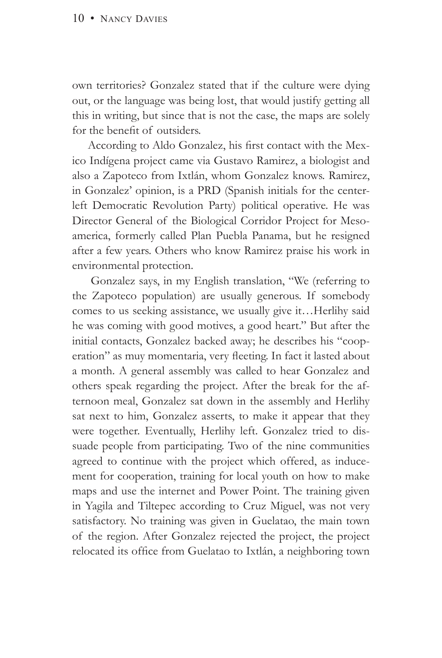own territories? Gonzalez stated that if the culture were dying out, or the language was being lost, that would justify getting all this in writing, but since that is not the case, the maps are solely for the benefit of outsiders.

 According to Aldo Gonzalez, his first contact with the Mexico Indígena project came via Gustavo Ramirez, a biologist and also a Zapoteco from Ixtlán, whom Gonzalez knows. Ramirez, in Gonzalez' opinion, is a PRD (Spanish initials for the centerleft Democratic Revolution Party) political operative. He was Director General of the Biological Corridor Project for Mesoamerica, formerly called Plan Puebla Panama, but he resigned after a few years. Others who know Ramirez praise his work in environmental protection.

 Gonzalez says, in my English translation, "We (referring to the Zapoteco population) are usually generous. If somebody comes to us seeking assistance, we usually give it…Herlihy said he was coming with good motives, a good heart." But after the initial contacts, Gonzalez backed away; he describes his "cooperation" as muy momentaria, very fleeting. In fact it lasted about a month. A general assembly was called to hear Gonzalez and others speak regarding the project. After the break for the afternoon meal, Gonzalez sat down in the assembly and Herlihy sat next to him, Gonzalez asserts, to make it appear that they were together. Eventually, Herlihy left. Gonzalez tried to dissuade people from participating. Two of the nine communities agreed to continue with the project which offered, as inducement for cooperation, training for local youth on how to make maps and use the internet and Power Point. The training given in Yagila and Tiltepec according to Cruz Miguel, was not very satisfactory. No training was given in Guelatao, the main town of the region. After Gonzalez rejected the project, the project relocated its office from Guelatao to Ixtlán, a neighboring town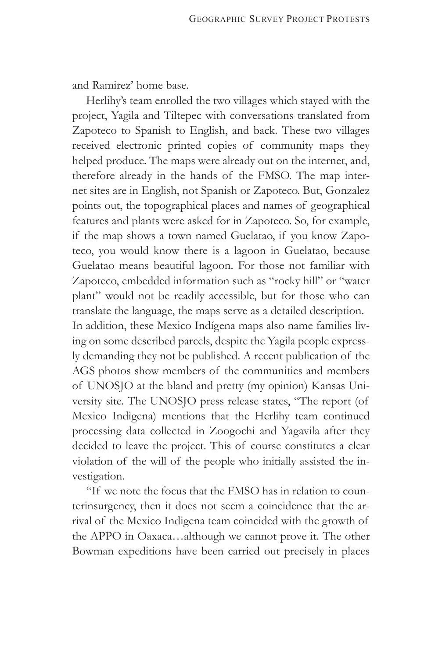and Ramirez' home base.

 Herlihy's team enrolled the two villages which stayed with the project, Yagila and Tiltepec with conversations translated from Zapoteco to Spanish to English, and back. These two villages received electronic printed copies of community maps they helped produce. The maps were already out on the internet, and, therefore already in the hands of the FMSO. The map internet sites are in English, not Spanish or Zapoteco. But, Gonzalez points out, the topographical places and names of geographical features and plants were asked for in Zapoteco. So, for example, if the map shows a town named Guelatao, if you know Zapoteco, you would know there is a lagoon in Guelatao, because Guelatao means beautiful lagoon. For those not familiar with Zapoteco, embedded information such as "rocky hill" or "water plant" would not be readily accessible, but for those who can translate the language, the maps serve as a detailed description. In addition, these Mexico Indígena maps also name families living on some described parcels, despite the Yagila people expressly demanding they not be published. A recent publication of the AGS photos show members of the communities and members of UNOSJO at the bland and pretty (my opinion) Kansas University site. The UNOSJO press release states, "The report (of Mexico Indigena) mentions that the Herlihy team continued processing data collected in Zoogochi and Yagavila after they decided to leave the project. This of course constitutes a clear violation of the will of the people who initially assisted the investigation.

 "If we note the focus that the FMSO has in relation to counterinsurgency, then it does not seem a coincidence that the arrival of the Mexico Indigena team coincided with the growth of the APPO in Oaxaca…although we cannot prove it. The other Bowman expeditions have been carried out precisely in places